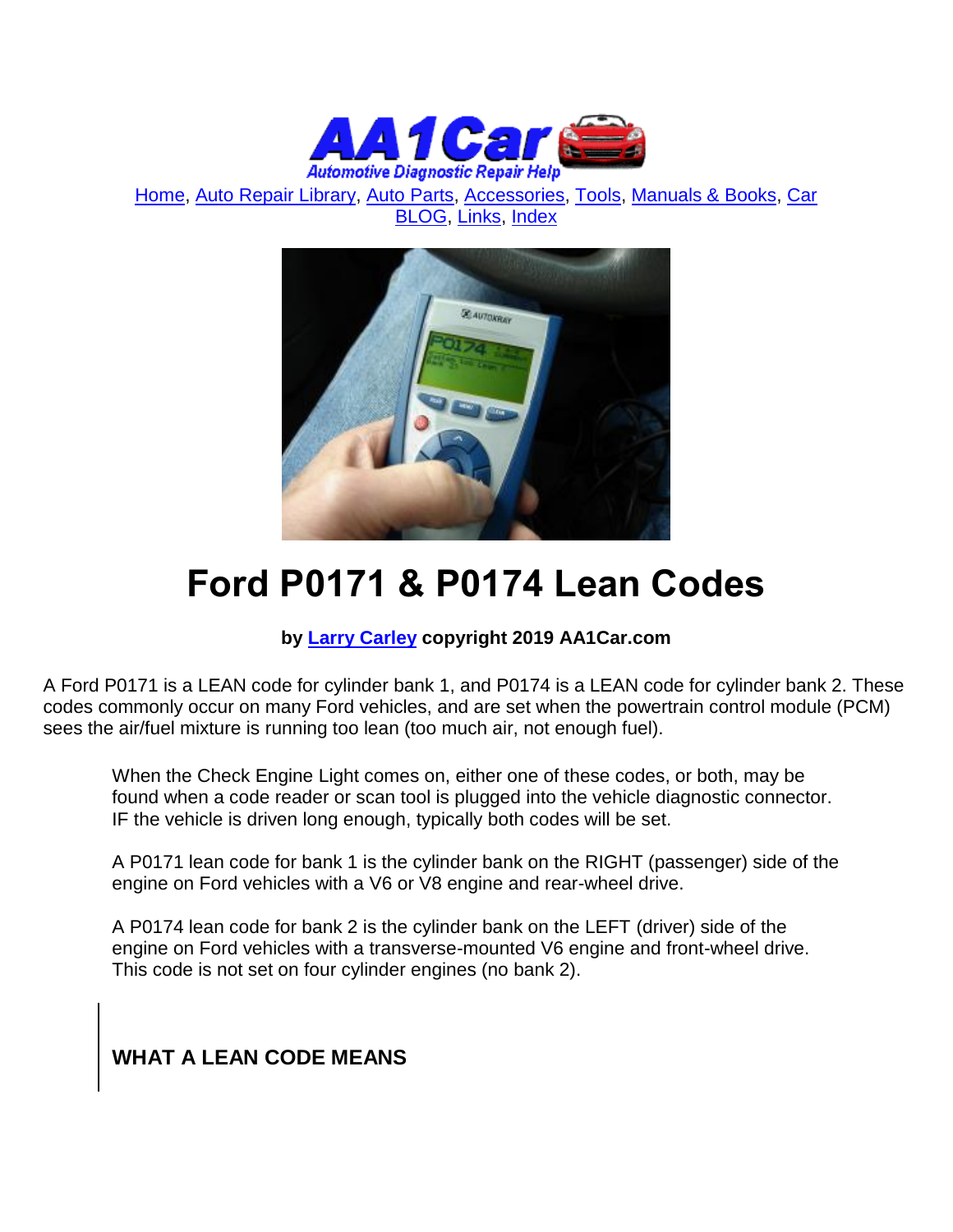

[Home,](http://www.aa1car.com/) [Auto Repair Library,](http://www.aa1car.com/library.htm) [Auto Parts,](http://www.aa1car.com/links_parts.htm) [Accessories,](http://www.aa1car.com/links_accessories.htm) [Tools,](http://www.aa1car.com/links_tools.htm) [Manuals & Books,](http://www.aa1car.com/links_books.htm) [Car](http://www.aa1car.com/blog/blog.htm)  [BLOG,](http://www.aa1car.com/blog/blog.htm) [Links,](http://www.aa1car.com/links.htm) [Index](http://www.aa1car.com/index_alphabetical.htm)



# **Ford P0171 & P0174 Lean Codes**

#### **by [Larry Carley](https://www.aa1car.com/larrypage/larrycarley_photos.htm) copyright 2019 AA1Car.com**

A Ford P0171 is a LEAN code for cylinder bank 1, and P0174 is a LEAN code for cylinder bank 2. These codes commonly occur on many Ford vehicles, and are set when the powertrain control module (PCM) sees the air/fuel mixture is running too lean (too much air, not enough fuel).

When the Check Engine Light comes on, either one of these codes, or both, may be found when a code reader or scan tool is plugged into the vehicle diagnostic connector. IF the vehicle is driven long enough, typically both codes will be set.

A P0171 lean code for bank 1 is the cylinder bank on the RIGHT (passenger) side of the engine on Ford vehicles with a V6 or V8 engine and rear-wheel drive.

A P0174 lean code for bank 2 is the cylinder bank on the LEFT (driver) side of the engine on Ford vehicles with a transverse-mounted V6 engine and front-wheel drive. This code is not set on four cylinder engines (no bank 2).

### **WHAT A LEAN CODE MEANS**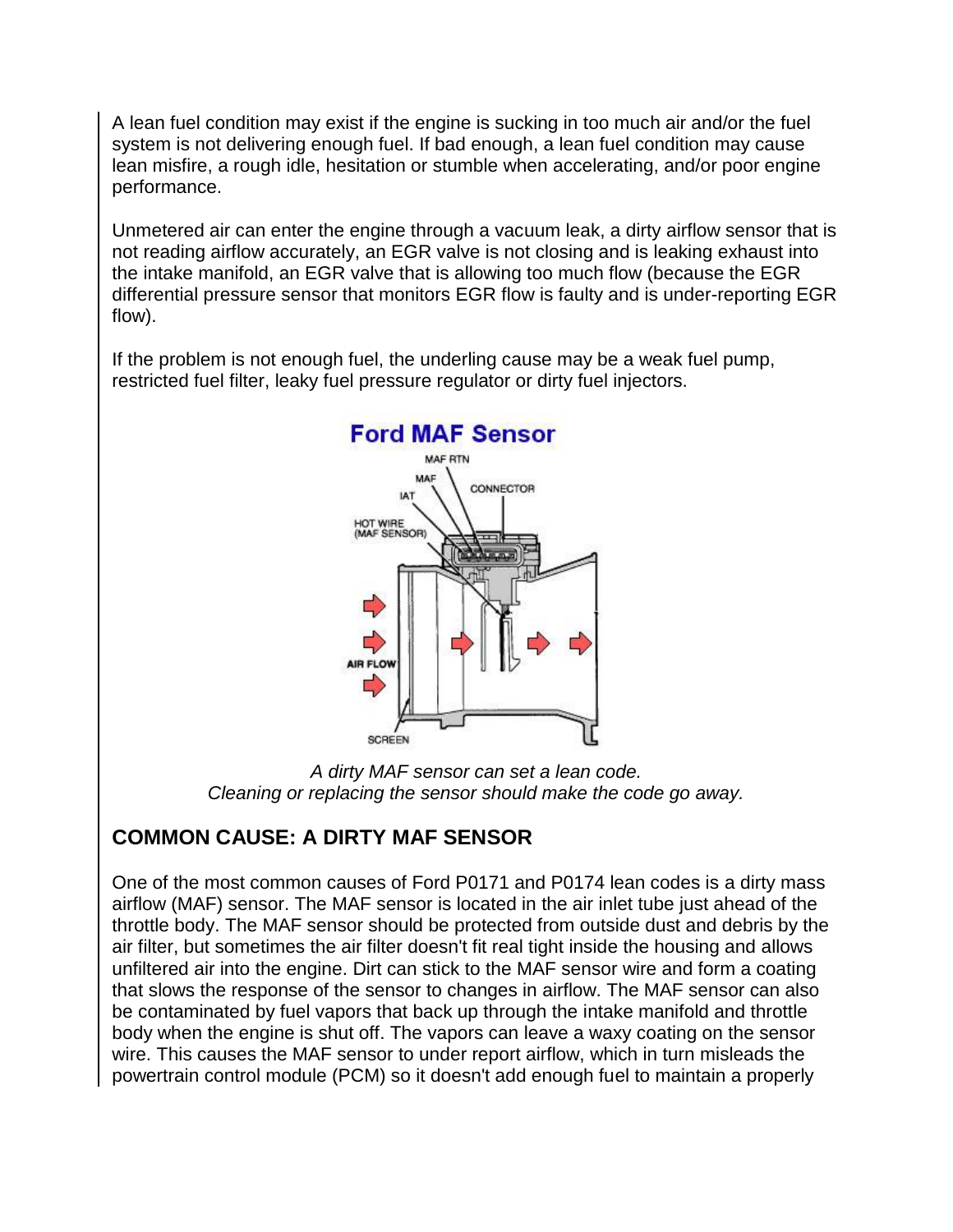A lean fuel condition may exist if the engine is sucking in too much air and/or the fuel system is not delivering enough fuel. If bad enough, a lean fuel condition may cause lean misfire, a rough idle, hesitation or stumble when accelerating, and/or poor engine performance.

Unmetered air can enter the engine through a vacuum leak, a dirty airflow sensor that is not reading airflow accurately, an EGR valve is not closing and is leaking exhaust into the intake manifold, an EGR valve that is allowing too much flow (because the EGR differential pressure sensor that monitors EGR flow is faulty and is under-reporting EGR flow).

If the problem is not enough fuel, the underling cause may be a weak fuel pump, restricted fuel filter, leaky fuel pressure regulator or dirty fuel injectors.



*A dirty MAF sensor can set a lean code. Cleaning or replacing the sensor should make the code go away.*

### **COMMON CAUSE: A DIRTY MAF SENSOR**

One of the most common causes of Ford P0171 and P0174 lean codes is a dirty mass airflow (MAF) sensor. The MAF sensor is located in the air inlet tube just ahead of the throttle body. The MAF sensor should be protected from outside dust and debris by the air filter, but sometimes the air filter doesn't fit real tight inside the housing and allows unfiltered air into the engine. Dirt can stick to the MAF sensor wire and form a coating that slows the response of the sensor to changes in airflow. The MAF sensor can also be contaminated by fuel vapors that back up through the intake manifold and throttle body when the engine is shut off. The vapors can leave a waxy coating on the sensor wire. This causes the MAF sensor to under report airflow, which in turn misleads the powertrain control module (PCM) so it doesn't add enough fuel to maintain a properly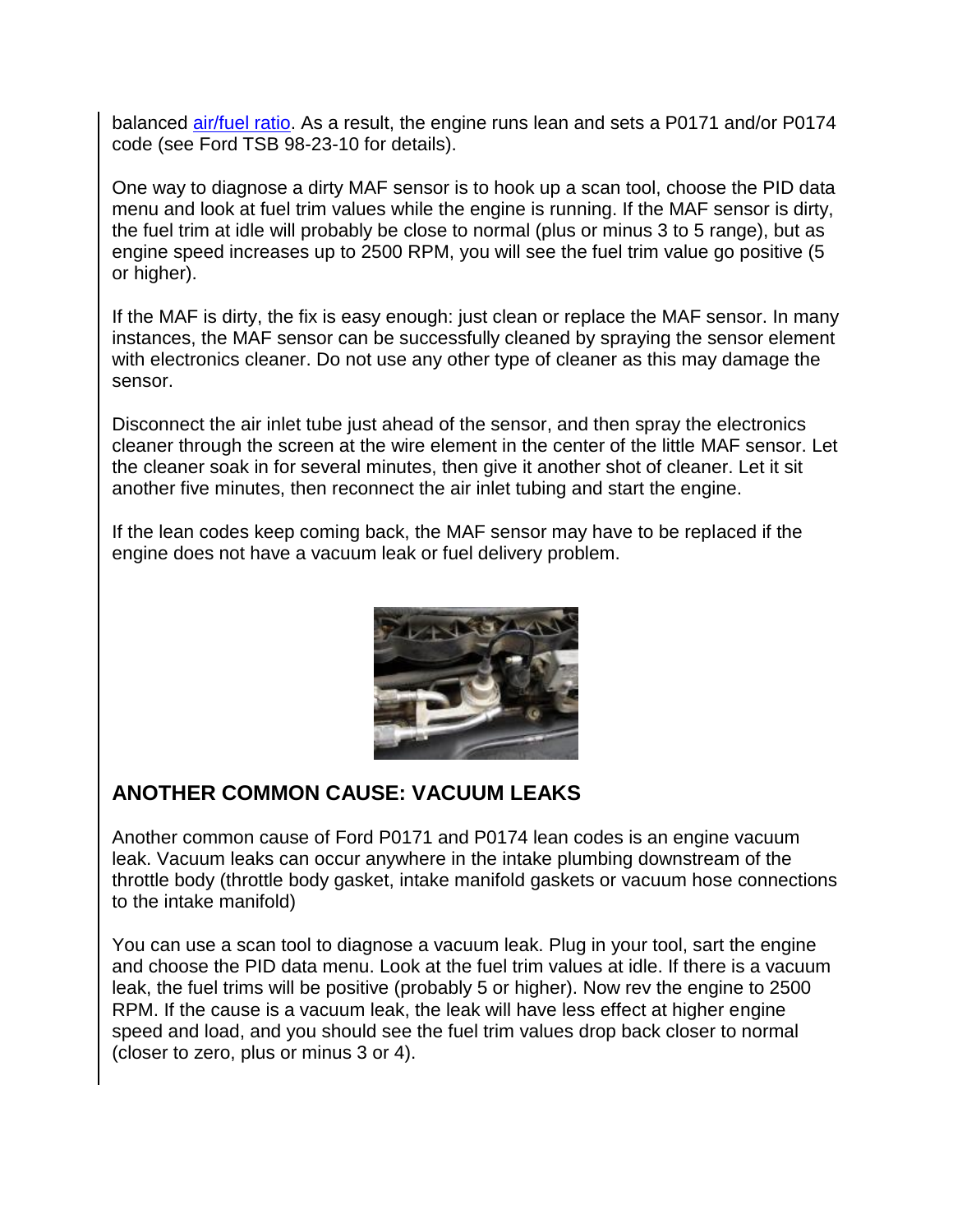balanced [air/fuel ratio.](https://www.aa1car.com/library/air_fuel_ratios.htm) As a result, the engine runs lean and sets a P0171 and/or P0174 code (see Ford TSB 98-23-10 for details).

One way to diagnose a dirty MAF sensor is to hook up a scan tool, choose the PID data menu and look at fuel trim values while the engine is running. If the MAF sensor is dirty, the fuel trim at idle will probably be close to normal (plus or minus 3 to 5 range), but as engine speed increases up to 2500 RPM, you will see the fuel trim value go positive (5 or higher).

If the MAF is dirty, the fix is easy enough: just clean or replace the MAF sensor. In many instances, the MAF sensor can be successfully cleaned by spraying the sensor element with electronics cleaner. Do not use any other type of cleaner as this may damage the sensor.

Disconnect the air inlet tube just ahead of the sensor, and then spray the electronics cleaner through the screen at the wire element in the center of the little MAF sensor. Let the cleaner soak in for several minutes, then give it another shot of cleaner. Let it sit another five minutes, then reconnect the air inlet tubing and start the engine.

If the lean codes keep coming back, the MAF sensor may have to be replaced if the engine does not have a vacuum leak or fuel delivery problem.



#### **ANOTHER COMMON CAUSE: VACUUM LEAKS**

Another common cause of Ford P0171 and P0174 lean codes is an engine vacuum leak. Vacuum leaks can occur anywhere in the intake plumbing downstream of the throttle body (throttle body gasket, intake manifold gaskets or vacuum hose connections to the intake manifold)

You can use a scan tool to diagnose a vacuum leak. Plug in your tool, sart the engine and choose the PID data menu. Look at the fuel trim values at idle. If there is a vacuum leak, the fuel trims will be positive (probably 5 or higher). Now rev the engine to 2500 RPM. If the cause is a vacuum leak, the leak will have less effect at higher engine speed and load, and you should see the fuel trim values drop back closer to normal (closer to zero, plus or minus 3 or 4).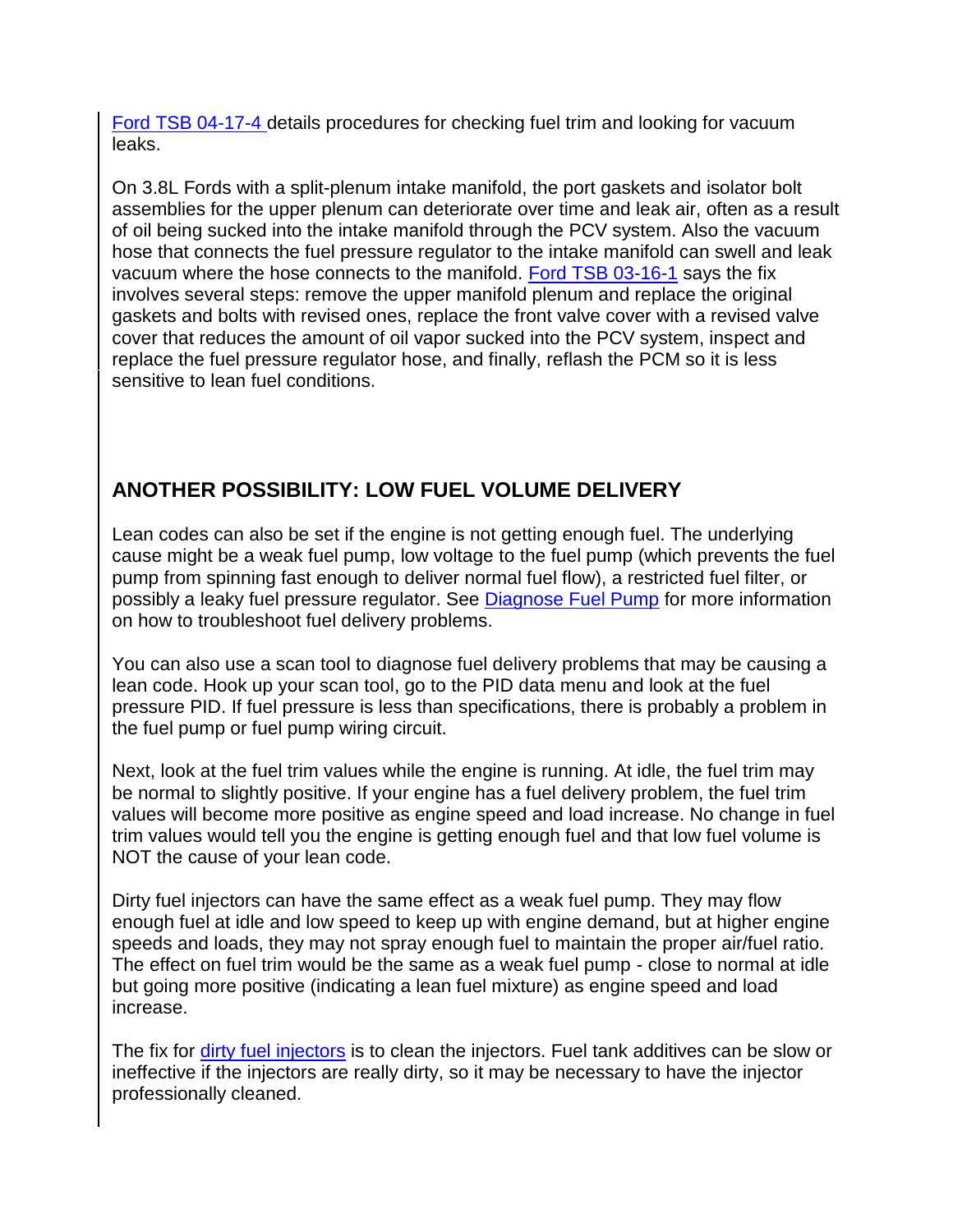[Ford TSB 04-17-4 d](http://www.aa1car.com/library/ford_tsb_04-17-4.pdf)etails procedures for checking fuel trim and looking for vacuum leaks.

On 3.8L Fords with a split-plenum intake manifold, the port gaskets and isolator bolt assemblies for the upper plenum can deteriorate over time and leak air, often as a result of oil being sucked into the intake manifold through the PCV system. Also the vacuum hose that connects the fuel pressure regulator to the intake manifold can swell and leak vacuum where the hose connects to the manifold. [Ford TSB 03-16-1](http://www.aa1car.com/library/ford_tsb_03-16-1.pdf) says the fix involves several steps: remove the upper manifold plenum and replace the original gaskets and bolts with revised ones, replace the front valve cover with a revised valve cover that reduces the amount of oil vapor sucked into the PCV system, inspect and replace the fuel pressure regulator hose, and finally, reflash the PCM so it is less sensitive to lean fuel conditions.

### **ANOTHER POSSIBILITY: LOW FUEL VOLUME DELIVERY**

Lean codes can also be set if the engine is not getting enough fuel. The underlying cause might be a weak fuel pump, low voltage to the fuel pump (which prevents the fuel pump from spinning fast enough to deliver normal fuel flow), a restricted fuel filter, or possibly a leaky fuel pressure regulator. See [Diagnose Fuel Pump](http://www.aa1car.com/library/fuel_pump_diagnose.htm) for more information on how to troubleshoot fuel delivery problems.

You can also use a scan tool to diagnose fuel delivery problems that may be causing a lean code. Hook up your scan tool, go to the PID data menu and look at the fuel pressure PID. If fuel pressure is less than specifications, there is probably a problem in the fuel pump or fuel pump wiring circuit.

Next, look at the fuel trim values while the engine is running. At idle, the fuel trim may be normal to slightly positive. If your engine has a fuel delivery problem, the fuel trim values will become more positive as engine speed and load increase. No change in fuel trim values would tell you the engine is getting enough fuel and that low fuel volume is NOT the cause of your lean code.

Dirty fuel injectors can have the same effect as a weak fuel pump. They may flow enough fuel at idle and low speed to keep up with engine demand, but at higher engine speeds and loads, they may not spray enough fuel to maintain the proper air/fuel ratio. The effect on fuel trim would be the same as a weak fuel pump - close to normal at idle but going more positive (indicating a lean fuel mixture) as engine speed and load increase.

The fix for [dirty fuel injectors](http://www.aa1car.com/library/2003/ic30336.htm) is to clean the injectors. Fuel tank additives can be slow or ineffective if the injectors are really dirty, so it may be necessary to have the injector professionally cleaned.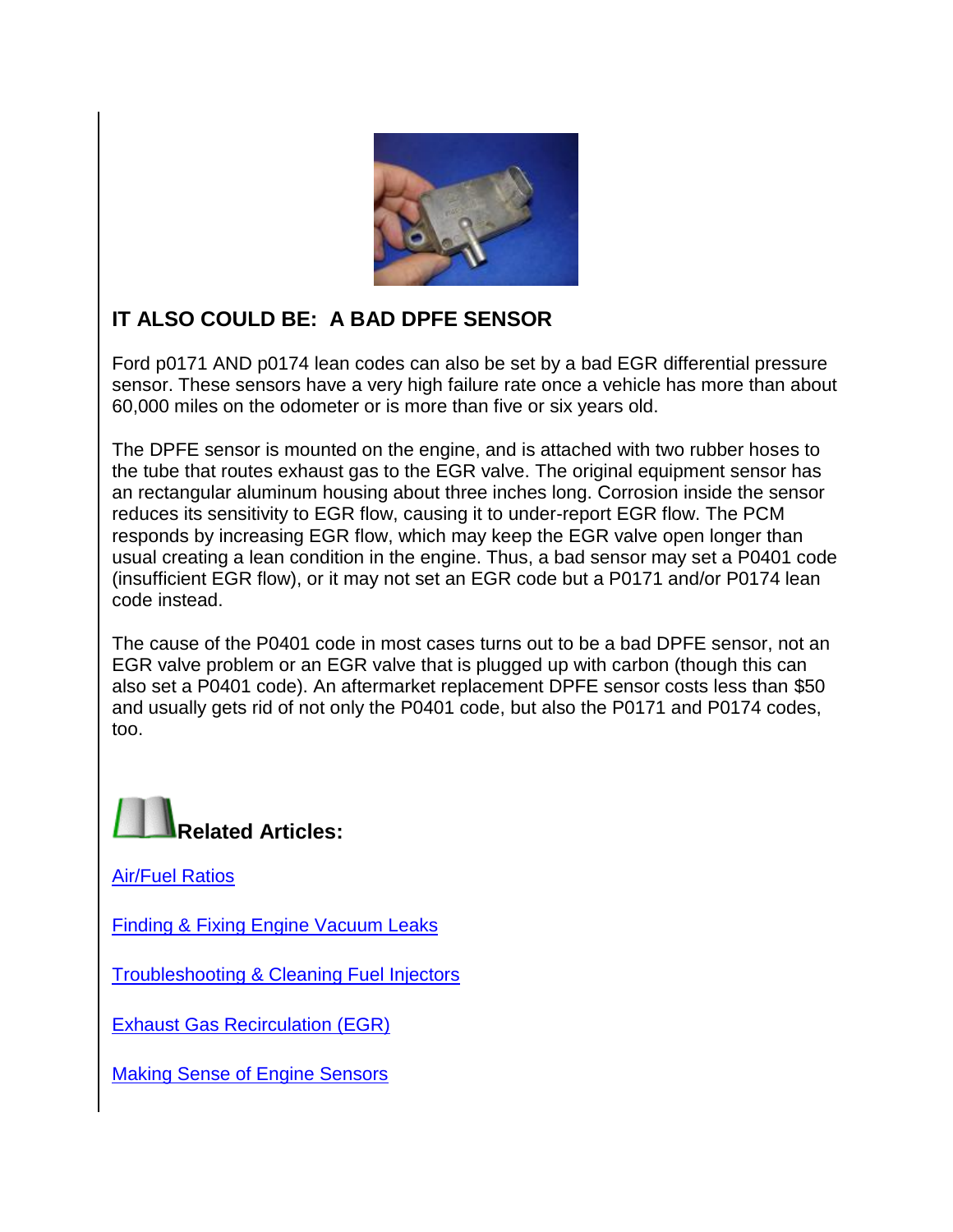

## **IT ALSO COULD BE: A BAD DPFE SENSOR**

Ford p0171 AND p0174 lean codes can also be set by a bad EGR differential pressure sensor. These sensors have a very high failure rate once a vehicle has more than about 60,000 miles on the odometer or is more than five or six years old.

The DPFE sensor is mounted on the engine, and is attached with two rubber hoses to the tube that routes exhaust gas to the EGR valve. The original equipment sensor has an rectangular aluminum housing about three inches long. Corrosion inside the sensor reduces its sensitivity to EGR flow, causing it to under-report EGR flow. The PCM responds by increasing EGR flow, which may keep the EGR valve open longer than usual creating a lean condition in the engine. Thus, a bad sensor may set a P0401 code (insufficient EGR flow), or it may not set an EGR code but a P0171 and/or P0174 lean code instead.

The cause of the P0401 code in most cases turns out to be a bad DPFE sensor, not an EGR valve problem or an EGR valve that is plugged up with carbon (though this can also set a P0401 code). An aftermarket replacement DPFE sensor costs less than \$50 and usually gets rid of not only the P0401 code, but also the P0171 and P0174 codes, too.



[Air/Fuel Ratios](https://www.aa1car.com/library/air_fuel_ratios.htm)

[Finding & Fixing Engine Vacuum Leaks](http://www.aa1car.com/library/vacleak.htm)

[Troubleshooting & Cleaning Fuel Injectors](http://www.aa1car.com/library/2003/ic30336.htm)

[Exhaust Gas Recirculation \(EGR\)](http://www.aa1car.com/library/egr.htm)

[Making Sense of Engine Sensors](http://www.aa1car.com/library/1999/cm69910.htm)